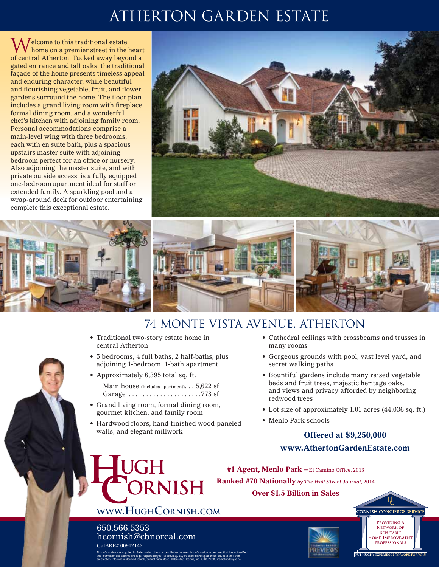# Atherton garden estate

 $\Lambda$  / elcome to this traditional estate home on a premier street in the heart of central Atherton. Tucked away beyond a gated entrance and tall oaks, the traditional façade of the home presents timeless appeal and enduring character, while beautiful and flourishing vegetable, fruit, and flower gardens surround the home. The floor plan includes a grand living room with fireplace, formal dining room, and a wonderful chef's kitchen with adjoining family room. Personal accommodations comprise a main-level wing with three bedrooms, each with en suite bath, plus a spacious upstairs master suite with adjoining bedroom perfect for an office or nursery. Also adjoining the master suite, and with private outside access, is a fully equipped one-bedroom apartment ideal for staff or extended family. A sparkling pool and a wrap-around deck for outdoor entertaining complete this exceptional estate.





## 74 Monte Vista Avenue, Atherton

- Traditional two-story estate home in central Atherton
- 5 bedrooms, 4 full baths, 2 half-baths, plus adjoining 1-bedroom, 1-bath apartment
- Approximately 6,395 total sq. ft.

Main house (includes apartment). . . 5,622 sf Garage  $\dots\dots\dots\dots\dots\dots$ . 773 sf

• Grand living room, formal dining room, gourmet kitchen, and family room

**www.HughCornish.com**

hcornish@cbnorcal.com

UGH

650.566.5353

CalBRE# 00912143

This information was supplied by Seller and/or other sources. Broker believes this information to be correct but has not verified this information and assumes no legal responsibility for its accuracy. Buyers should investigate these issues to their own satisfaction. Information deemed reliable, but not guaranteed. ©Marketing Designs, Inc. 650.802.0888 marketingdesigns.net

• Hardwood floors, hand-finished wood-paneled walls, and elegant millwork

**DRNISH** 

- • Cathedral ceilings with crossbeams and trusses in many rooms
- • Gorgeous grounds with pool, vast level yard, and secret walking paths
- Bountiful gardens include many raised vegetable beds and fruit trees, majestic heritage oaks, and views and privacy afforded by neighboring redwood trees
- Lot size of approximately 1.01 acres (44,036 sq. ft.)
- Menlo Park schools

### **Offered at \$9,250,000 www.AthertonGardenEstate.com**

**#1 Agent, Menlo Park –** El Camino Office, 2013 **Ranked #70 Nationally** *by The Wall Street Journal,* <sup>2014</sup>

**Over \$1.5 Billion in Sales**



**Providing A Network of Reputable Home-Improvement Professionals**

**CORNISH CONCIERGE SERVICE**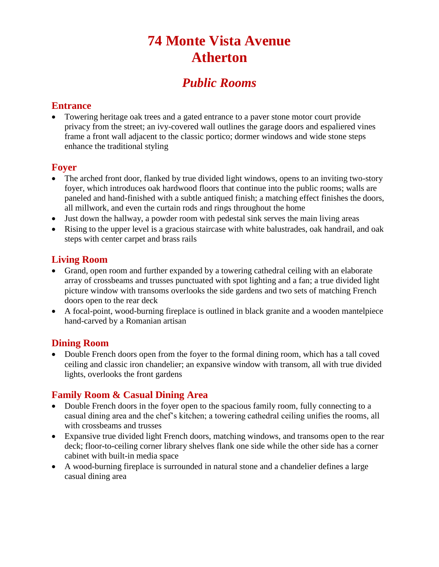## **74 Monte Vista Avenue Atherton**

## *Public Rooms*

#### **Entrance**

 Towering heritage oak trees and a gated entrance to a paver stone motor court provide privacy from the street; an ivy-covered wall outlines the garage doors and espaliered vines frame a front wall adjacent to the classic portico; dormer windows and wide stone steps enhance the traditional styling

#### **Foyer**

- The arched front door, flanked by true divided light windows, opens to an inviting two-story foyer, which introduces oak hardwood floors that continue into the public rooms; walls are paneled and hand-finished with a subtle antiqued finish; a matching effect finishes the doors, all millwork, and even the curtain rods and rings throughout the home
- Just down the hallway, a powder room with pedestal sink serves the main living areas
- Rising to the upper level is a gracious staircase with white balustrades, oak handrail, and oak steps with center carpet and brass rails

#### **Living Room**

- Grand, open room and further expanded by a towering cathedral ceiling with an elaborate array of crossbeams and trusses punctuated with spot lighting and a fan; a true divided light picture window with transoms overlooks the side gardens and two sets of matching French doors open to the rear deck
- A focal-point, wood-burning fireplace is outlined in black granite and a wooden mantelpiece hand-carved by a Romanian artisan

#### **Dining Room**

 Double French doors open from the foyer to the formal dining room, which has a tall coved ceiling and classic iron chandelier; an expansive window with transom, all with true divided lights, overlooks the front gardens

#### **Family Room & Casual Dining Area**

- Double French doors in the foyer open to the spacious family room, fully connecting to a casual dining area and the chef's kitchen; a towering cathedral ceiling unifies the rooms, all with crossbeams and trusses
- Expansive true divided light French doors, matching windows, and transoms open to the rear deck; floor-to-ceiling corner library shelves flank one side while the other side has a corner cabinet with built-in media space
- A wood-burning fireplace is surrounded in natural stone and a chandelier defines a large casual dining area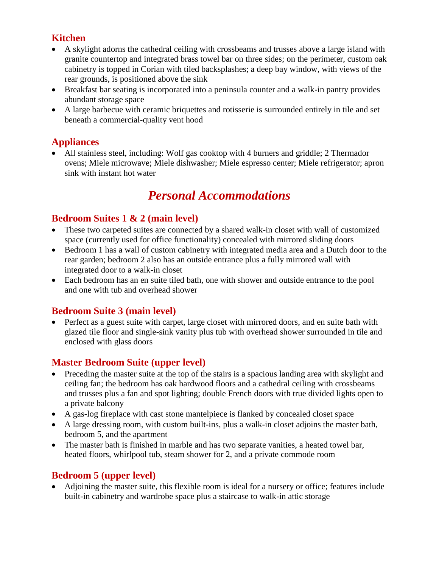#### **Kitchen**

- A skylight adorns the cathedral ceiling with crossbeams and trusses above a large island with granite countertop and integrated brass towel bar on three sides; on the perimeter, custom oak cabinetry is topped in Corian with tiled backsplashes; a deep bay window, with views of the rear grounds, is positioned above the sink
- Breakfast bar seating is incorporated into a peninsula counter and a walk-in pantry provides abundant storage space
- A large barbecue with ceramic briquettes and rotisserie is surrounded entirely in tile and set beneath a commercial-quality vent hood

#### **Appliances**

 All stainless steel, including: Wolf gas cooktop with 4 burners and griddle; 2 Thermador ovens; Miele microwave; Miele dishwasher; Miele espresso center; Miele refrigerator; apron sink with instant hot water

## *Personal Accommodations*

#### **Bedroom Suites 1 & 2 (main level)**

- These two carpeted suites are connected by a shared walk-in closet with wall of customized space (currently used for office functionality) concealed with mirrored sliding doors
- Bedroom 1 has a wall of custom cabinetry with integrated media area and a Dutch door to the rear garden; bedroom 2 also has an outside entrance plus a fully mirrored wall with integrated door to a walk-in closet
- Each bedroom has an en suite tiled bath, one with shower and outside entrance to the pool and one with tub and overhead shower

#### **Bedroom Suite 3 (main level)**

• Perfect as a guest suite with carpet, large closet with mirrored doors, and en suite bath with glazed tile floor and single-sink vanity plus tub with overhead shower surrounded in tile and enclosed with glass doors

#### **Master Bedroom Suite (upper level)**

- Preceding the master suite at the top of the stairs is a spacious landing area with skylight and ceiling fan; the bedroom has oak hardwood floors and a cathedral ceiling with crossbeams and trusses plus a fan and spot lighting; double French doors with true divided lights open to a private balcony
- A gas-log fireplace with cast stone mantelpiece is flanked by concealed closet space
- A large dressing room, with custom built-ins, plus a walk-in closet adjoins the master bath, bedroom 5, and the apartment
- The master bath is finished in marble and has two separate vanities, a heated towel bar, heated floors, whirlpool tub, steam shower for 2, and a private commode room

#### **Bedroom 5 (upper level)**

 Adjoining the master suite, this flexible room is ideal for a nursery or office; features include built-in cabinetry and wardrobe space plus a staircase to walk-in attic storage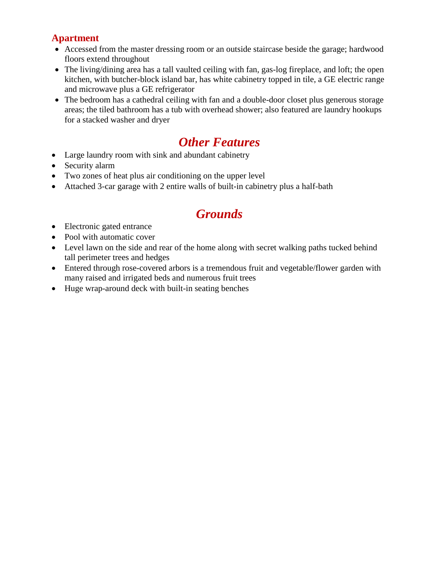#### **Apartment**

- Accessed from the master dressing room or an outside staircase beside the garage; hardwood floors extend throughout
- The living/dining area has a tall vaulted ceiling with fan, gas-log fireplace, and loft; the open kitchen, with butcher-block island bar, has white cabinetry topped in tile, a GE electric range and microwave plus a GE refrigerator
- The bedroom has a cathedral ceiling with fan and a double-door closet plus generous storage areas; the tiled bathroom has a tub with overhead shower; also featured are laundry hookups for a stacked washer and dryer

## *Other Features*

- Large laundry room with sink and abundant cabinetry
- Security alarm
- Two zones of heat plus air conditioning on the upper level
- Attached 3-car garage with 2 entire walls of built-in cabinetry plus a half-bath

## *Grounds*

- Electronic gated entrance
- Pool with automatic cover
- Level lawn on the side and rear of the home along with secret walking paths tucked behind tall perimeter trees and hedges
- Entered through rose-covered arbors is a tremendous fruit and vegetable/flower garden with many raised and irrigated beds and numerous fruit trees
- Huge wrap-around deck with built-in seating benches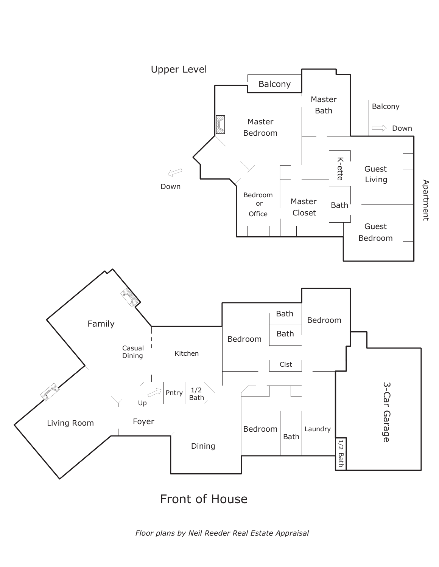

*Floor plans by Neil Reeder Real Estate Appraisal*